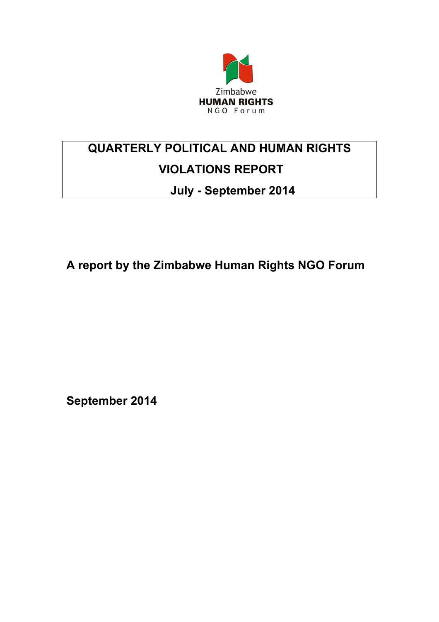

# **QUARTERLY POLITICAL AND HUMAN RIGHTS VIOLATIONS REPORT**

# **July - September 2014**

**A report by the Zimbabwe Human Rights NGO Forum**

**September 2014**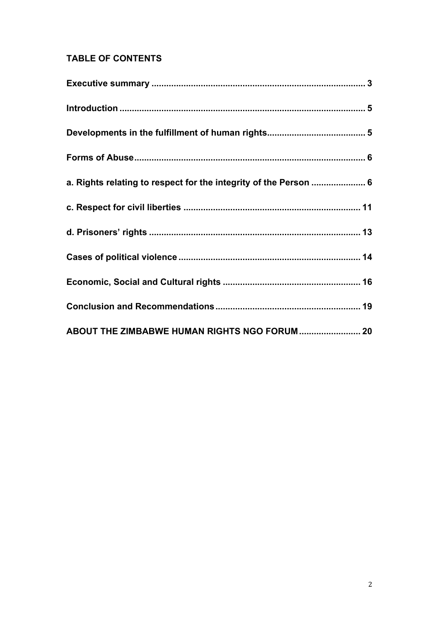## **TABLE OF CONTENTS**

| a. Rights relating to respect for the integrity of the Person  6 |  |
|------------------------------------------------------------------|--|
|                                                                  |  |
|                                                                  |  |
|                                                                  |  |
|                                                                  |  |
|                                                                  |  |
| ABOUT THE ZIMBABWE HUMAN RIGHTS NGO FORUM 20                     |  |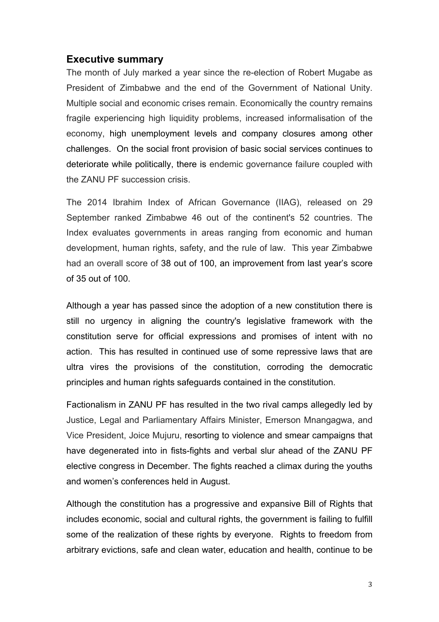#### **Executive summary**

The month of July marked a year since the re-election of Robert Mugabe as President of Zimbabwe and the end of the Government of National Unity. Multiple social and economic crises remain. Economically the country remains fragile experiencing high liquidity problems, increased informalisation of the economy, high unemployment levels and company closures among other challenges. On the social front provision of basic social services continues to deteriorate while politically, there is endemic governance failure coupled with the ZANU PF succession crisis.

The 2014 Ibrahim Index of African Governance (IIAG), released on 29 September ranked Zimbabwe 46 out of the continent's 52 countries. The Index evaluates governments in areas ranging from economic and human development, human rights, safety, and the rule of law. This year Zimbabwe had an overall score of 38 out of 100, an improvement from last year's score of 35 out of 100.

Although a year has passed since the adoption of a new constitution there is still no urgency in aligning the country's legislative framework with the constitution serve for official expressions and promises of intent with no action. This has resulted in continued use of some repressive laws that are ultra vires the provisions of the constitution, corroding the democratic principles and human rights safeguards contained in the constitution.

Factionalism in ZANU PF has resulted in the two rival camps allegedly led by Justice, Legal and Parliamentary Affairs Minister, Emerson Mnangagwa, and Vice President, Joice Mujuru, resorting to violence and smear campaigns that have degenerated into in fists-fights and verbal slur ahead of the ZANU PF elective congress in December. The fights reached a climax during the youths and women's conferences held in August.

Although the constitution has a progressive and expansive Bill of Rights that includes economic, social and cultural rights, the government is failing to fulfill some of the realization of these rights by everyone. Rights to freedom from arbitrary evictions, safe and clean water, education and health, continue to be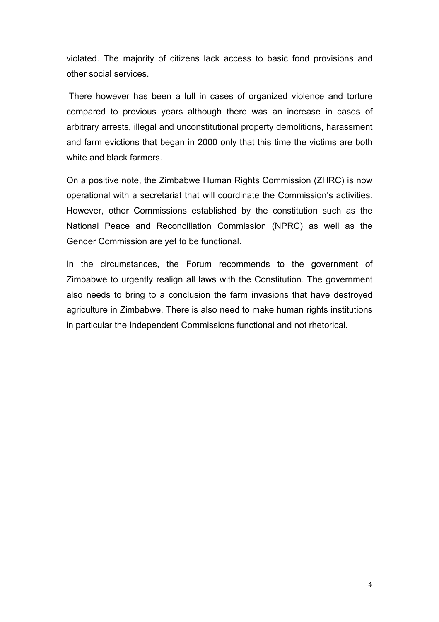violated. The majority of citizens lack access to basic food provisions and other social services.

 There however has been a lull in cases of organized violence and torture compared to previous years although there was an increase in cases of arbitrary arrests, illegal and unconstitutional property demolitions, harassment and farm evictions that began in 2000 only that this time the victims are both white and black farmers.

On a positive note, the Zimbabwe Human Rights Commission (ZHRC) is now operational with a secretariat that will coordinate the Commission's activities. However, other Commissions established by the constitution such as the National Peace and Reconciliation Commission (NPRC) as well as the Gender Commission are yet to be functional.

In the circumstances, the Forum recommends to the government of Zimbabwe to urgently realign all laws with the Constitution. The government also needs to bring to a conclusion the farm invasions that have destroyed agriculture in Zimbabwe. There is also need to make human rights institutions in particular the Independent Commissions functional and not rhetorical.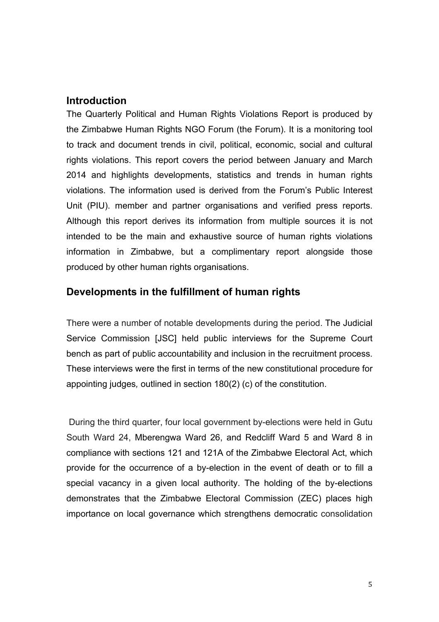#### **Introduction**

The Quarterly Political and Human Rights Violations Report is produced by the Zimbabwe Human Rights NGO Forum (the Forum). It is a monitoring tool to track and document trends in civil, political, economic, social and cultural rights violations. This report covers the period between January and March 2014 and highlights developments, statistics and trends in human rights violations. The information used is derived from the Forum's Public Interest Unit (PIU). member and partner organisations and verified press reports. Although this report derives its information from multiple sources it is not intended to be the main and exhaustive source of human rights violations information in Zimbabwe, but a complimentary report alongside those produced by other human rights organisations.

#### **Developments in the fulfillment of human rights**

There were a number of notable developments during the period. The Judicial Service Commission [JSC] held public interviews for the Supreme Court bench as part of public accountability and inclusion in the recruitment process. These interviews were the first in terms of the new constitutional procedure for appointing judges*,* outlined in section 180(2) (c) of the constitution.

 During the third quarter, four local government by-elections were held in Gutu South Ward 24, Mberengwa Ward 26, and Redcliff Ward 5 and Ward 8 in compliance with sections 121 and 121A of the Zimbabwe Electoral Act, which provide for the occurrence of a by-election in the event of death or to fill a special vacancy in a given local authority. The holding of the by-elections demonstrates that the Zimbabwe Electoral Commission (ZEC) places high importance on local governance which strengthens democratic consolidation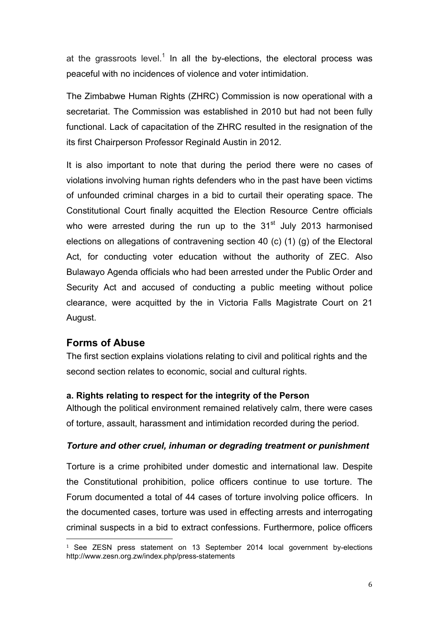at the grassroots level.<sup>1</sup> In all the by-elections, the electoral process was peaceful with no incidences of violence and voter intimidation.

The Zimbabwe Human Rights (ZHRC) Commission is now operational with a secretariat. The Commission was established in 2010 but had not been fully functional. Lack of capacitation of the ZHRC resulted in the resignation of the its first Chairperson Professor Reginald Austin in 2012.

It is also important to note that during the period there were no cases of violations involving human rights defenders who in the past have been victims of unfounded criminal charges in a bid to curtail their operating space. The Constitutional Court finally acquitted the Election Resource Centre officials who were arrested during the run up to the  $31<sup>st</sup>$  July 2013 harmonised elections on allegations of contravening section 40 (c) (1) (g) of the Electoral Act, for conducting voter education without the authority of ZEC. Also Bulawayo Agenda officials who had been arrested under the Public Order and Security Act and accused of conducting a public meeting without police clearance, were acquitted by the in Victoria Falls Magistrate Court on 21 August.

#### **Forms of Abuse**

!!!!!!!!!!!!!!!!!!!!!!!!!!!!!!!!!!!!!!!!!!!!!!!!!!!!!!!

The first section explains violations relating to civil and political rights and the second section relates to economic, social and cultural rights.

#### **a. Rights relating to respect for the integrity of the Person**

Although the political environment remained relatively calm, there were cases of torture, assault, harassment and intimidation recorded during the period.

#### *Torture and other cruel, inhuman or degrading treatment or punishment*

Torture is a crime prohibited under domestic and international law. Despite the Constitutional prohibition, police officers continue to use torture. The Forum documented a total of 44 cases of torture involving police officers. In the documented cases, torture was used in effecting arrests and interrogating criminal suspects in a bid to extract confessions. Furthermore, police officers

<sup>&</sup>lt;sup>1</sup> See ZESN press statement on 13 September 2014 local government by-elections http://www.zesn.org.zw/index.php/press-statements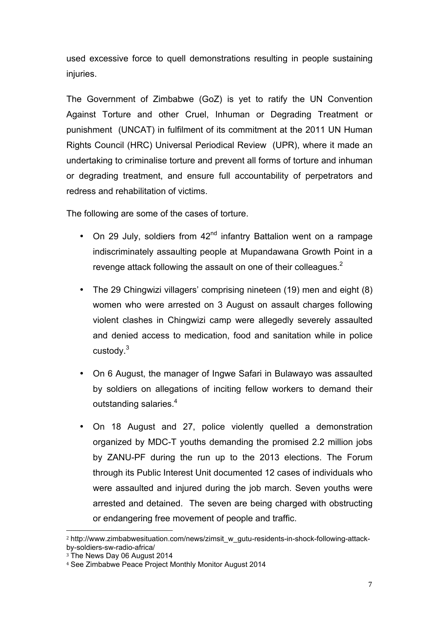used excessive force to quell demonstrations resulting in people sustaining injuries.

The Government of Zimbabwe (GoZ) is yet to ratify the UN Convention Against Torture and other Cruel, Inhuman or Degrading Treatment or punishment (UNCAT) in fulfilment of its commitment at the 2011 UN Human Rights Council (HRC) Universal Periodical Review (UPR), where it made an undertaking to criminalise torture and prevent all forms of torture and inhuman or degrading treatment, and ensure full accountability of perpetrators and redress and rehabilitation of victims.

The following are some of the cases of torture.

- On 29 July, soldiers from  $42<sup>nd</sup>$  infantry Battalion went on a rampage indiscriminately assaulting people at Mupandawana Growth Point in a revenge attack following the assault on one of their colleagues.<sup>2</sup>
- The 29 Chingwizi villagers' comprising nineteen (19) men and eight (8) women who were arrested on 3 August on assault charges following violent clashes in Chingwizi camp were allegedly severely assaulted and denied access to medication, food and sanitation while in police custody.<sup>3</sup>
- On 6 August, the manager of Ingwe Safari in Bulawayo was assaulted by soldiers on allegations of inciting fellow workers to demand their outstanding salaries.<sup>4</sup>
- On 18 August and 27, police violently quelled a demonstration organized by MDC-T youths demanding the promised 2.2 million jobs by ZANU-PF during the run up to the 2013 elections. The Forum through its Public Interest Unit documented 12 cases of individuals who were assaulted and injured during the job march. Seven youths were arrested and detained. The seven are being charged with obstructing or endangering free movement of people and traffic.

<sup>!!!!!!!!!!!!!!!!!!!!!!!!!!!!!!!!!!!!!!!!!!!!!!!!!!!!!!!</sup> <sup>2</sup> http://www.zimbabwesituation.com/news/zimsit\_w\_gutu-residents-in-shock-following-attackby-soldiers-sw-radio-africa/

<sup>&</sup>lt;sup>3</sup> The News Day 06 August 2014

<sup>4</sup> See Zimbabwe Peace Project Monthly Monitor August 2014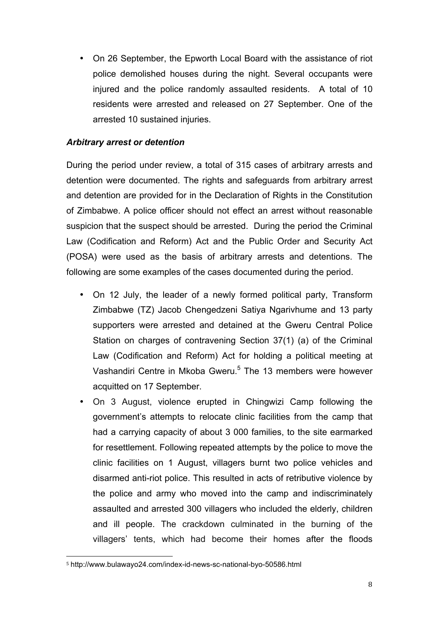• On 26 September, the Epworth Local Board with the assistance of riot police demolished houses during the night. Several occupants were injured and the police randomly assaulted residents. A total of 10 residents were arrested and released on 27 September. One of the arrested 10 sustained injuries.

#### *Arbitrary arrest or detention*

During the period under review, a total of 315 cases of arbitrary arrests and detention were documented. The rights and safeguards from arbitrary arrest and detention are provided for in the Declaration of Rights in the Constitution of Zimbabwe. A police officer should not effect an arrest without reasonable suspicion that the suspect should be arrested. During the period the Criminal Law (Codification and Reform) Act and the Public Order and Security Act (POSA) were used as the basis of arbitrary arrests and detentions. The following are some examples of the cases documented during the period.

- On 12 July, the leader of a newly formed political party, Transform Zimbabwe (TZ) Jacob Chengedzeni Satiya Ngarivhume and 13 party supporters were arrested and detained at the Gweru Central Police Station on charges of contravening Section 37(1) (a) of the Criminal Law (Codification and Reform) Act for holding a political meeting at Vashandiri Centre in Mkoba Gweru.<sup>5</sup> The 13 members were however acquitted on 17 September.
- On 3 August, violence erupted in Chingwizi Camp following the government's attempts to relocate clinic facilities from the camp that had a carrying capacity of about 3 000 families, to the site earmarked for resettlement. Following repeated attempts by the police to move the clinic facilities on 1 August, villagers burnt two police vehicles and disarmed anti-riot police. This resulted in acts of retributive violence by the police and army who moved into the camp and indiscriminately assaulted and arrested 300 villagers who included the elderly, children and ill people. The crackdown culminated in the burning of the villagers' tents, which had become their homes after the floods

<sup>!!!!!!!!!!!!!!!!!!!!!!!!!!!!!!!!!!!!!!!!!!!!!!!!!!!!!!!</sup> <sup>5</sup> http://www.bulawayo24.com/index-id-news-sc-national-byo-50586.html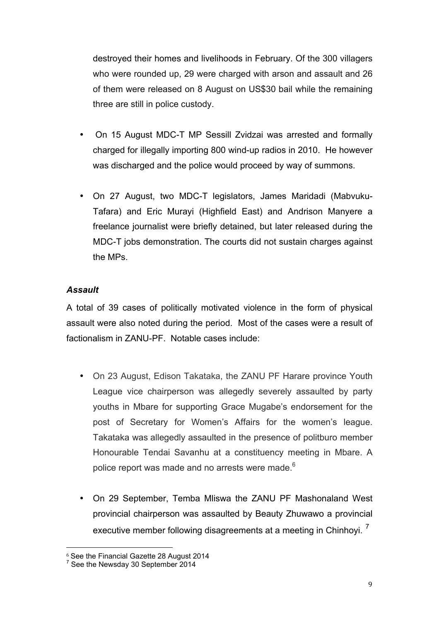destroyed their homes and livelihoods in February. Of the 300 villagers who were rounded up, 29 were charged with arson and assault and 26 of them were released on 8 August on US\$30 bail while the remaining three are still in police custody.

- On 15 August MDC-T MP Sessill Zvidzai was arrested and formally charged for illegally importing 800 wind-up radios in 2010. He however was discharged and the police would proceed by way of summons.
- On 27 August, two MDC-T legislators, James Maridadi (Mabvuku-Tafara) and Eric Murayi (Highfield East) and Andrison Manyere a freelance journalist were briefly detained, but later released during the MDC-T jobs demonstration. The courts did not sustain charges against the MPs.

#### *Assault*

A total of 39 cases of politically motivated violence in the form of physical assault were also noted during the period. Most of the cases were a result of factionalism in ZANU-PF. Notable cases include:

- On 23 August, Edison Takataka, the ZANU PF Harare province Youth League vice chairperson was allegedly severely assaulted by party youths in Mbare for supporting Grace Mugabe's endorsement for the post of Secretary for Women's Affairs for the women's league. Takataka was allegedly assaulted in the presence of politburo member Honourable Tendai Savanhu at a constituency meeting in Mbare. A police report was made and no arrests were made.<sup>6</sup>
- On 29 September, Temba Mliswa the ZANU PF Mashonaland West provincial chairperson was assaulted by Beauty Zhuwawo a provincial executive member following disagreements at a meeting in Chinhovi.<sup>7</sup>

!!!!!!!!!!!!!!!!!!!!!!!!!!!!!!!!!!!!!!!!!!!!!!!!!!!!!!!

<sup>6</sup> See the Financial Gazette 28 August 2014

<sup>&</sup>lt;sup>7</sup> See the Newsday 30 September 2014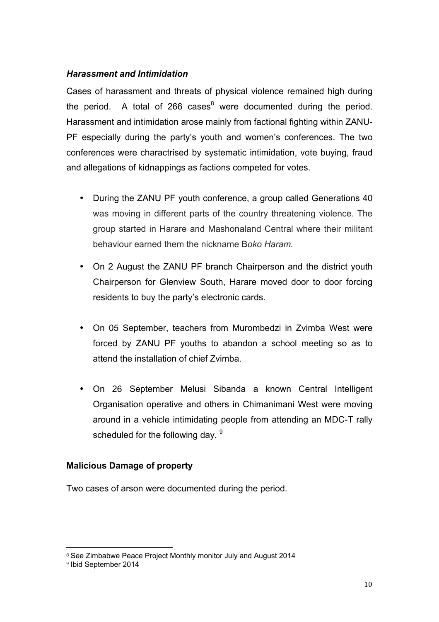#### *Harassment and Intimidation*

Cases of harassment and threats of physical violence remained high during the period. A total of 266 cases $^8$  were documented during the period. Harassment and intimidation arose mainly from factional fighting within ZANU-PF especially during the party's youth and women's conferences. The two conferences were charactrised by systematic intimidation, vote buying, fraud and allegations of kidnappings as factions competed for votes.

- During the ZANU PF youth conference, a group called Generations 40 was moving in different parts of the country threatening violence. The group started in Harare and Mashonaland Central where their militant behaviour earned them the nickname B*oko Haram.*
- On 2 August the ZANU PF branch Chairperson and the district youth Chairperson for Glenview South, Harare moved door to door forcing residents to buy the party's electronic cards.
- On 05 September, teachers from Murombedzi in Zvimba West were forced by ZANU PF youths to abandon a school meeting so as to attend the installation of chief Zvimba.
- On 26 September Melusi Sibanda a known Central Intelligent Organisation operative and others in Chimanimani West were moving around in a vehicle intimidating people from attending an MDC-T rally scheduled for the following day. <sup>9</sup>

#### **Malicious Damage of property**

Two cases of arson were documented during the period.

<sup>!!!!!!!!!!!!!!!!!!!!!!!!!!!!!!!!!!!!!!!!!!!!!!!!!!!!!!!</sup> <sup>8</sup> See Zimbabwe Peace Project Monthly monitor July and August 2014

<sup>9</sup> Ibid September 2014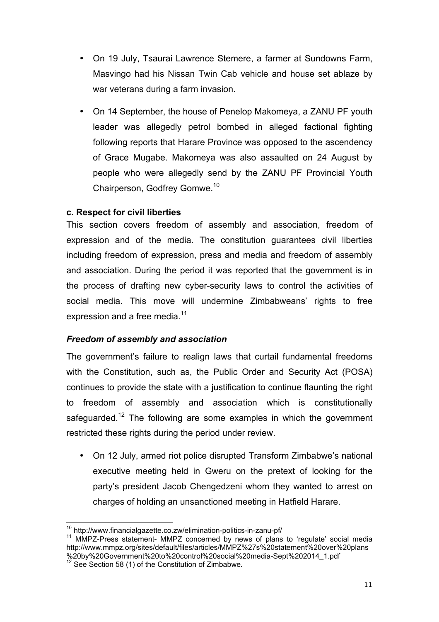- On 19 July, Tsaurai Lawrence Stemere, a farmer at Sundowns Farm, Masvingo had his Nissan Twin Cab vehicle and house set ablaze by war veterans during a farm invasion.
- On 14 September, the house of Penelop Makomeya, a ZANU PF youth leader was allegedly petrol bombed in alleged factional fighting following reports that Harare Province was opposed to the ascendency of Grace Mugabe. Makomeya was also assaulted on 24 August by people who were allegedly send by the ZANU PF Provincial Youth Chairperson, Godfrey Gomwe.10

#### **c. Respect for civil liberties**

This section covers freedom of assembly and association, freedom of expression and of the media. The constitution guarantees civil liberties including freedom of expression, press and media and freedom of assembly and association. During the period it was reported that the government is in the process of drafting new cyber-security laws to control the activities of social media. This move will undermine Zimbabweans' rights to free expression and a free media.<sup>11</sup>

#### *Freedom of assembly and association*

The government's failure to realign laws that curtail fundamental freedoms with the Constitution, such as, the Public Order and Security Act (POSA) continues to provide the state with a justification to continue flaunting the right to freedom of assembly and association which is constitutionally safeguarded.<sup>12</sup> The following are some examples in which the government restricted these rights during the period under review.

• On 12 July, armed riot police disrupted Transform Zimbabwe's national executive meeting held in Gweru on the pretext of looking for the party's president Jacob Chengedzeni whom they wanted to arrest on charges of holding an unsanctioned meeting in Hatfield Harare.

<sup>&</sup>lt;sup>10</sup> http://www.financialgazette.co.zw/elimination-politics-in-zanu-pf/<br><sup>11</sup> MMPZ-Press statement- MMPZ concerned by news of plans to 'regulate' social media http://www.mmpz.org/sites/default/files/articles/MMPZ%27s%20statement%20over%20plans %20by%20Government%20to%20control%20social%20media-Sept%202014\_1.pdf

 $12$  See Section 58 (1) of the Constitution of Zimbabwe.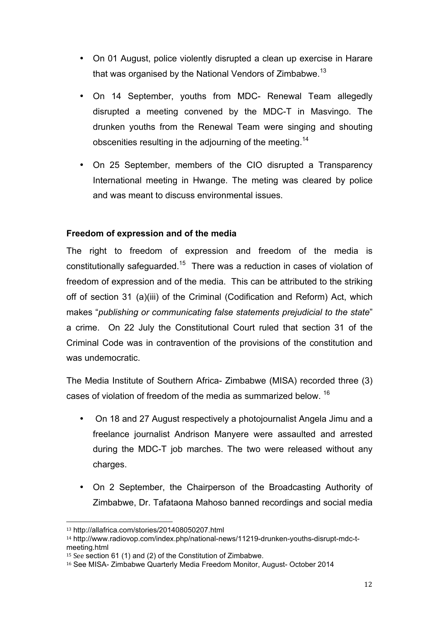- On 01 August, police violently disrupted a clean up exercise in Harare that was organised by the National Vendors of Zimbabwe.<sup>13</sup>
- On 14 September, youths from MDC- Renewal Team allegedly disrupted a meeting convened by the MDC-T in Masvingo. The drunken youths from the Renewal Team were singing and shouting obscenities resulting in the adjourning of the meeting.<sup>14</sup>
- On 25 September, members of the CIO disrupted a Transparency International meeting in Hwange. The meting was cleared by police and was meant to discuss environmental issues.

#### **Freedom of expression and of the media**

The right to freedom of expression and freedom of the media is constitutionally safeguarded.<sup>15</sup> There was a reduction in cases of violation of freedom of expression and of the media. This can be attributed to the striking off of section 31 (a)(iii) of the Criminal (Codification and Reform) Act, which makes "*publishing or communicating false statements prejudicial to the state*" a crime. On 22 July the Constitutional Court ruled that section 31 of the Criminal Code was in contravention of the provisions of the constitution and was undemocratic.

The Media Institute of Southern Africa- Zimbabwe (MISA) recorded three (3) cases of violation of freedom of the media as summarized below. <sup>16</sup>

- On 18 and 27 August respectively a photojournalist Angela Jimu and a freelance journalist Andrison Manyere were assaulted and arrested during the MDC-T job marches. The two were released without any charges.
- On 2 September, the Chairperson of the Broadcasting Authority of Zimbabwe, Dr. Tafataona Mahoso banned recordings and social media

!!!!!!!!!!!!!!!!!!!!!!!!!!!!!!!!!!!!!!!!!!!!!!!!!!!!!!!

<sup>13</sup> http://allafrica.com/stories/201408050207.html

<sup>14</sup> http://www.radiovop.com/index.php/national-news/11219-drunken-youths-disrupt-mdc-tmeeting.html

<sup>&</sup>lt;sup>15</sup> See section 61 (1) and (2) of the Constitution of Zimbabwe.

<sup>16</sup> See MISA- Zimbabwe Quarterly Media Freedom Monitor, August- October 2014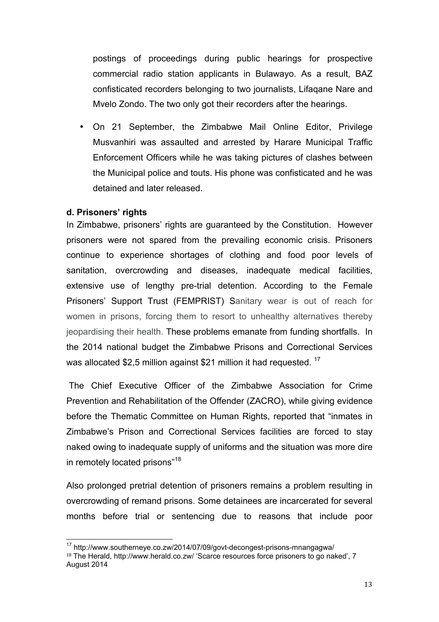postings of proceedings during public hearings for prospective commercial radio station applicants in Bulawayo. As a result, BAZ confisticated recorders belonging to two journalists, Lifaqane Nare and Mvelo Zondo. The two only got their recorders after the hearings.

• On 21 September, the Zimbabwe Mail Online Editor, Privilege Musvanhiri was assaulted and arrested by Harare Municipal Traffic Enforcement Officers while he was taking pictures of clashes between the Municipal police and touts. His phone was confisticated and he was detained and later released.

#### **d. Prisoners' rights**

In Zimbabwe, prisoners' rights are guaranteed by the Constitution. However prisoners were not spared from the prevailing economic crisis. Prisoners continue to experience shortages of clothing and food poor levels of sanitation, overcrowding and diseases, inadequate medical facilities, extensive use of lengthy pre-trial detention. According to the Female Prisoners' Support Trust (FEMPRIST) Sanitary wear is out of reach for women in prisons, forcing them to resort to unhealthy alternatives thereby jeopardising their health. These problems emanate from funding shortfalls. In the 2014 national budget the Zimbabwe Prisons and Correctional Services was allocated \$2,5 million against \$21 million it had requested. <sup>17</sup>

 The Chief Executive Officer of the Zimbabwe Association for Crime Prevention and Rehabilitation of the Offender (ZACRO), while giving evidence before the Thematic Committee on Human Rights, reported that "inmates in Zimbabwe's Prison and Correctional Services facilities are forced to stay naked owing to inadequate supply of uniforms and the situation was more dire in remotely located prisons"<sup>18</sup>

Also prolonged pretrial detention of prisoners remains a problem resulting in overcrowding of remand prisons. Some detainees are incarcerated for several months before trial or sentencing due to reasons that include poor

 $17$  http://www.southerneve.co.zw/2014/07/09/govt-decongest-prisons-mnangagwa/ <sup>18</sup> The Herald, http://www.herald.co.zw/ 'Scarce resources force prisoners to go naked', 7 August 2014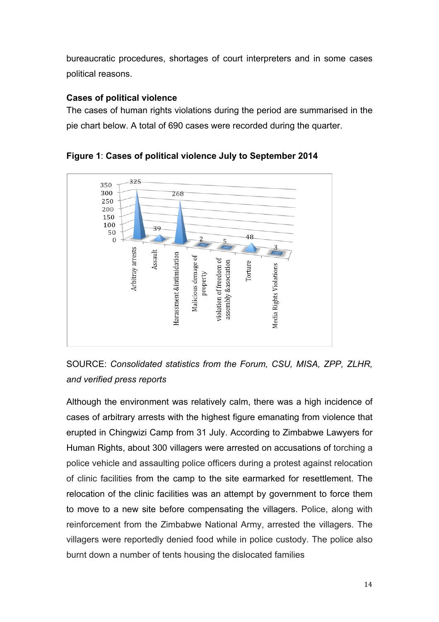bureaucratic procedures, shortages of court interpreters and in some cases political reasons.

#### **Cases of political violence**

The cases of human rights violations during the period are summarised in the pie chart below. A total of 690 cases were recorded during the quarter.



**Figure 1**: **Cases of political violence July to September 2014**

SOURCE: *Consolidated statistics from the Forum, CSU, MISA, ZPP, ZLHR, and verified press reports*

Although the environment was relatively calm, there was a high incidence of cases of arbitrary arrests with the highest figure emanating from violence that erupted in Chingwizi Camp from 31 July. According to Zimbabwe Lawyers for Human Rights, about 300 villagers were arrested on accusations of torching a police vehicle and assaulting police officers during a protest against relocation of clinic facilities from the camp to the site earmarked for resettlement. The relocation of the clinic facilities was an attempt by government to force them to move to a new site before compensating the villagers. Police, along with reinforcement from the Zimbabwe National Army, arrested the villagers. The villagers were reportedly denied food while in police custody. The police also burnt down a number of tents housing the dislocated families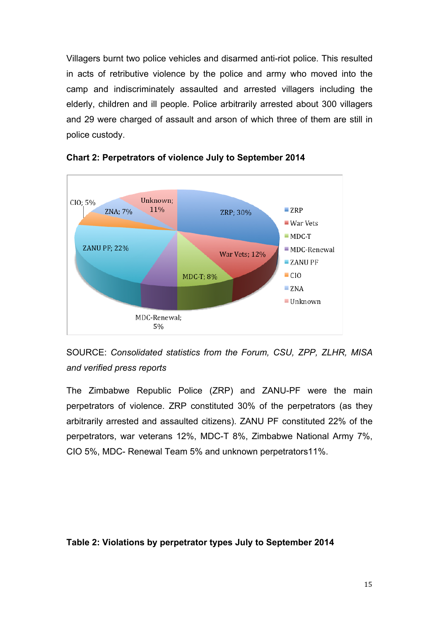Villagers burnt two police vehicles and disarmed anti-riot police. This resulted in acts of retributive violence by the police and army who moved into the camp and indiscriminately assaulted and arrested villagers including the elderly, children and ill people. Police arbitrarily arrested about 300 villagers and 29 were charged of assault and arson of which three of them are still in police custody.



**Chart 2: Perpetrators of violence July to September 2014**

SOURCE: *Consolidated statistics from the Forum, CSU, ZPP, ZLHR, MISA and verified press reports*

The Zimbabwe Republic Police (ZRP) and ZANU-PF were the main perpetrators of violence. ZRP constituted 30% of the perpetrators (as they arbitrarily arrested and assaulted citizens). ZANU PF constituted 22% of the perpetrators, war veterans 12%, MDC-T 8%, Zimbabwe National Army 7%, CIO 5%, MDC- Renewal Team 5% and unknown perpetrators11%.

#### **Table 2: Violations by perpetrator types July to September 2014**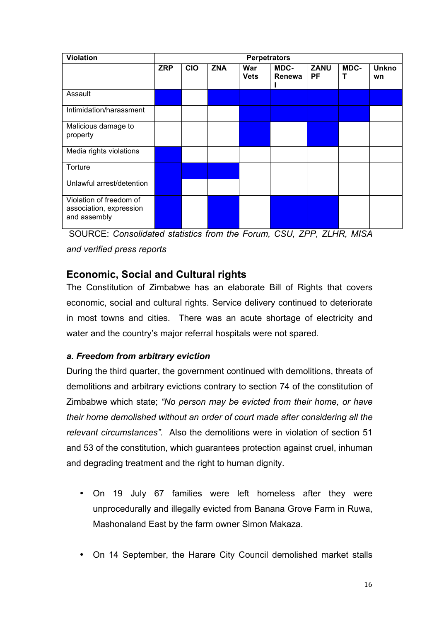| <b>Violation</b>                                                   | <b>Perpetrators</b> |            |            |                    |                |                   |           |                    |
|--------------------------------------------------------------------|---------------------|------------|------------|--------------------|----------------|-------------------|-----------|--------------------|
|                                                                    | <b>ZRP</b>          | <b>CIO</b> | <b>ZNA</b> | War<br><b>Vets</b> | MDC-<br>Renewa | <b>ZANU</b><br>PF | MDC-<br>Т | <b>Unkno</b><br>wn |
| Assault                                                            |                     |            |            |                    |                |                   |           |                    |
| Intimidation/harassment                                            |                     |            |            |                    |                |                   |           |                    |
| Malicious damage to<br>property                                    |                     |            |            |                    |                |                   |           |                    |
| Media rights violations                                            |                     |            |            |                    |                |                   |           |                    |
| Torture                                                            |                     |            |            |                    |                |                   |           |                    |
| Unlawful arrest/detention                                          |                     |            |            |                    |                |                   |           |                    |
| Violation of freedom of<br>association, expression<br>and assembly |                     |            |            |                    |                |                   |           |                    |

SOURCE: *Consolidated statistics from the Forum, CSU, ZPP, ZLHR, MISA and verified press reports*

# **Economic, Social and Cultural rights**

The Constitution of Zimbabwe has an elaborate Bill of Rights that covers economic, social and cultural rights. Service delivery continued to deteriorate in most towns and cities. There was an acute shortage of electricity and water and the country's major referral hospitals were not spared.

#### *a. Freedom from arbitrary eviction*

During the third quarter, the government continued with demolitions, threats of demolitions and arbitrary evictions contrary to section 74 of the constitution of Zimbabwe which state; *"No person may be evicted from their home, or have their home demolished without an order of court made after considering all the relevant circumstances".* Also the demolitions were in violation of section 51 and 53 of the constitution, which guarantees protection against cruel, inhuman and degrading treatment and the right to human dignity.

- On 19 July 67 families were left homeless after they were unprocedurally and illegally evicted from Banana Grove Farm in Ruwa, Mashonaland East by the farm owner Simon Makaza.
- On 14 September, the Harare City Council demolished market stalls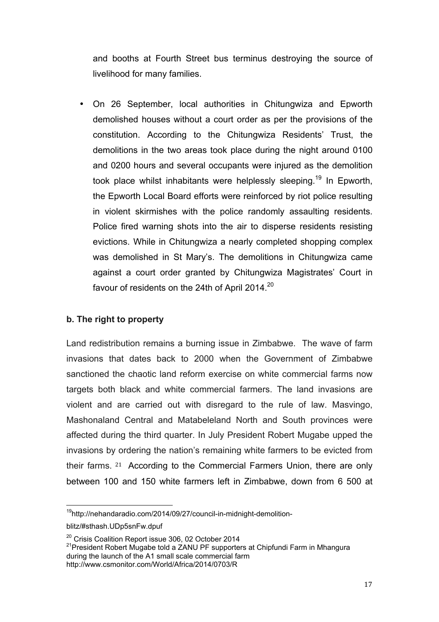and booths at Fourth Street bus terminus destroying the source of livelihood for many families.

• On 26 September, local authorities in Chitungwiza and Epworth demolished houses without a court order as per the provisions of the constitution. According to the Chitungwiza Residents' Trust, the demolitions in the two areas took place during the night around 0100 and 0200 hours and several occupants were injured as the demolition took place whilst inhabitants were helplessly sleeping.<sup>19</sup> In Epworth, the Epworth Local Board efforts were reinforced by riot police resulting in violent skirmishes with the police randomly assaulting residents. Police fired warning shots into the air to disperse residents resisting evictions. While in Chitungwiza a nearly completed shopping complex was demolished in St Mary's. The demolitions in Chitungwiza came against a court order granted by Chitungwiza Magistrates' Court in favour of residents on the 24th of April 2014.<sup>20</sup>

#### **b. The right to property**

Land redistribution remains a burning issue in Zimbabwe. The wave of farm invasions that dates back to 2000 when the Government of Zimbabwe sanctioned the chaotic land reform exercise on white commercial farms now targets both black and white commercial farmers. The land invasions are violent and are carried out with disregard to the rule of law. Masvingo, Mashonaland Central and Matabeleland North and South provinces were affected during the third quarter. In July President Robert Mugabe upped the invasions by ordering the nation's remaining white farmers to be evicted from their farms. <sup>21</sup> According to the Commercial Farmers Union, there are only between 100 and 150 white farmers left in Zimbabwe, down from 6 500 at

<sup>20</sup> Crisis Coalition Report issue 306, 02 October 2014<br><sup>21</sup> President Robert Mugabe told a ZANU PF supporters at Chipfundi Farm in Mhangura during the launch of the A1 small scale commercial farm http://www.csmonitor.com/World/Africa/2014/0703/R

<sup>&</sup>lt;sup>19</sup>http://nehandaradio.com/2014/09/27/council-in-midnight-demolition-

blitz/#sthash.UDp5snFw.dpuf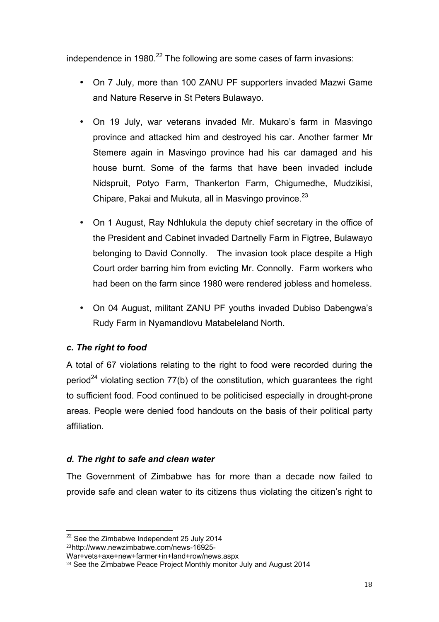independence in 1980. $^{22}$  The following are some cases of farm invasions:

- On 7 July, more than 100 ZANU PF supporters invaded Mazwi Game and Nature Reserve in St Peters Bulawayo.
- On 19 July, war veterans invaded Mr. Mukaro's farm in Masvingo province and attacked him and destroyed his car. Another farmer Mr Stemere again in Masvingo province had his car damaged and his house burnt. Some of the farms that have been invaded include Nidspruit, Potyo Farm, Thankerton Farm, Chigumedhe, Mudzikisi, Chipare, Pakai and Mukuta, all in Masvingo province. $^{23}$
- On 1 August, Ray Ndhlukula the deputy chief secretary in the office of the President and Cabinet invaded Dartnelly Farm in Figtree, Bulawayo belonging to David Connolly. The invasion took place despite a High Court order barring him from evicting Mr. Connolly. Farm workers who had been on the farm since 1980 were rendered jobless and homeless.
- On 04 August, militant ZANU PF youths invaded Dubiso Dabengwa's Rudy Farm in Nyamandlovu Matabeleland North.

#### *c. The right to food*

A total of 67 violations relating to the right to food were recorded during the period<sup>24</sup> violating section 77(b) of the constitution, which guarantees the right to sufficient food. Food continued to be politicised especially in drought-prone areas. People were denied food handouts on the basis of their political party affiliation.

#### *d. The right to safe and clean water*

The Government of Zimbabwe has for more than a decade now failed to provide safe and clean water to its citizens thus violating the citizen's right to

<sup>&</sup>lt;sup>22</sup> See the Zimbabwe Independent 25 July 2014

<sup>23</sup>http://www.newzimbabwe.com/news-16925-

War+vets+axe+new+farmer+in+land+row/news.aspx

<sup>&</sup>lt;sup>24</sup> See the Zimbabwe Peace Project Monthly monitor July and August 2014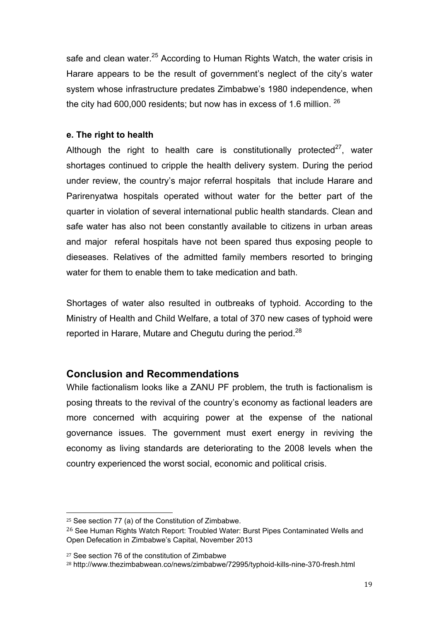safe and clean water.<sup>25</sup> According to Human Rights Watch, the water crisis in Harare appears to be the result of government's neglect of the city's water system whose infrastructure predates Zimbabwe's 1980 independence, when the city had 600,000 residents; but now has in excess of 1.6 million.  $^{26}$ 

#### **e. The right to health**

Although the right to health care is constitutionally protected $27$ , water shortages continued to cripple the health delivery system. During the period under review, the country's major referral hospitals that include Harare and Parirenyatwa hospitals operated without water for the better part of the quarter in violation of several international public health standards. Clean and safe water has also not been constantly available to citizens in urban areas and major referal hospitals have not been spared thus exposing people to dieseases. Relatives of the admitted family members resorted to bringing water for them to enable them to take medication and bath.

Shortages of water also resulted in outbreaks of typhoid. According to the Ministry of Health and Child Welfare, a total of 370 new cases of typhoid were reported in Harare, Mutare and Chegutu during the period.<sup>28</sup>

#### **Conclusion and Recommendations**

While factionalism looks like a ZANU PF problem, the truth is factionalism is posing threats to the revival of the country's economy as factional leaders are more concerned with acquiring power at the expense of the national governance issues. The government must exert energy in reviving the economy as living standards are deteriorating to the 2008 levels when the country experienced the worst social, economic and political crisis.

!!!!!!!!!!!!!!!!!!!!!!!!!!!!!!!!!!!!!!!!!!!!!!!!!!!!!!!

<sup>25</sup> See section 77 (a) of the Constitution of Zimbabwe.

<sup>&</sup>lt;sup>26</sup> See Human Rights Watch Report: Troubled Water: Burst Pipes Contaminated Wells and Open Defecation in Zimbabwe's Capital, November 2013

<sup>27</sup> See section 76 of the constitution of Zimbabwe

<sup>28</sup> http://www.thezimbabwean.co/news/zimbabwe/72995/typhoid-kills-nine-370-fresh.html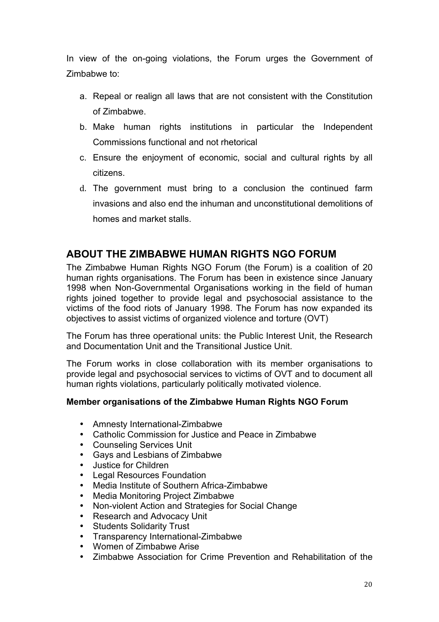In view of the on-going violations, the Forum urges the Government of Zimbabwe to:

- a. Repeal or realign all laws that are not consistent with the Constitution of Zimbabwe.
- b. Make human rights institutions in particular the Independent Commissions functional and not rhetorical
- c. Ensure the enjoyment of economic, social and cultural rights by all citizens.
- d. The government must bring to a conclusion the continued farm invasions and also end the inhuman and unconstitutional demolitions of homes and market stalls.

### **ABOUT THE ZIMBABWE HUMAN RIGHTS NGO FORUM**

The Zimbabwe Human Rights NGO Forum (the Forum) is a coalition of 20 human rights organisations. The Forum has been in existence since January 1998 when Non-Governmental Organisations working in the field of human rights joined together to provide legal and psychosocial assistance to the victims of the food riots of January 1998. The Forum has now expanded its objectives to assist victims of organized violence and torture (OVT)

The Forum has three operational units: the Public Interest Unit, the Research and Documentation Unit and the Transitional Justice Unit.

The Forum works in close collaboration with its member organisations to provide legal and psychosocial services to victims of OVT and to document all human rights violations, particularly politically motivated violence.

#### **Member organisations of the Zimbabwe Human Rights NGO Forum**

- Amnesty International-Zimbabwe
- Catholic Commission for Justice and Peace in Zimbabwe
- Counseling Services Unit
- Gays and Lesbians of Zimbabwe
- Justice for Children<br>• Legal Resources Fo
- **Legal Resources Foundation**
- Media Institute of Southern Africa-Zimbabwe
- Media Monitoring Project Zimbabwe
- Non-violent Action and Strategies for Social Change
- Research and Advocacy Unit
- **Students Solidarity Trust**
- Transparency International-Zimbabwe
- Women of Zimbabwe Arise
- Zimbabwe Association for Crime Prevention and Rehabilitation of the